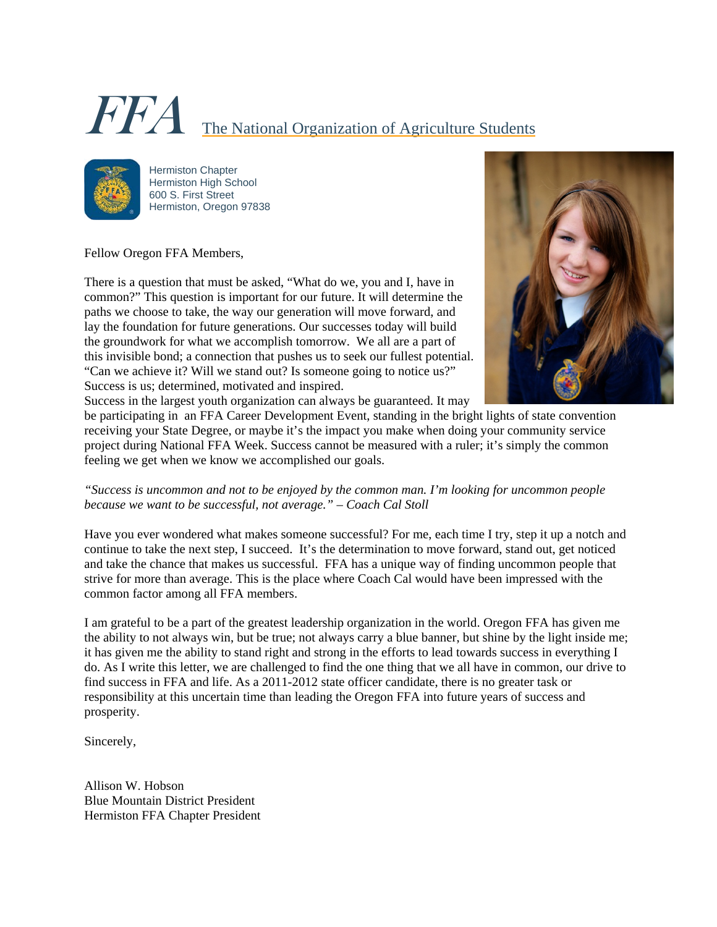# FFA The National Organization of Agriculture Students



Hermiston Chapter Hermiston High School 600 S. First Street Hermiston, Oregon 97838

Fellow Oregon FFA Members,

There is a question that must be asked, "What do we, you and I, have in common?" This question is important for our future. It will determine the paths we choose to take, the way our generation will move forward, and lay the foundation for future generations. Our successes today will build the groundwork for what we accomplish tomorrow. We all are a part of this invisible bond; a connection that pushes us to seek our fullest potential. "Can we achieve it? Will we stand out? Is someone going to notice us?" Success is us; determined, motivated and inspired.



Success in the largest youth organization can always be guaranteed. It may

be participating in an FFA Career Development Event, standing in the bright lights of state convention receiving your State Degree, or maybe it's the impact you make when doing your community service project during National FFA Week. Success cannot be measured with a ruler; it's simply the common feeling we get when we know we accomplished our goals.

*"Success is uncommon and not to be enjoyed by the common man. I'm looking for uncommon people because we want to be successful, not average." – Coach Cal Stoll* 

Have you ever wondered what makes someone successful? For me, each time I try, step it up a notch and continue to take the next step, I succeed. It's the determination to move forward, stand out, get noticed and take the chance that makes us successful. FFA has a unique way of finding uncommon people that strive for more than average. This is the place where Coach Cal would have been impressed with the common factor among all FFA members.

I am grateful to be a part of the greatest leadership organization in the world. Oregon FFA has given me the ability to not always win, but be true; not always carry a blue banner, but shine by the light inside me; it has given me the ability to stand right and strong in the efforts to lead towards success in everything I do. As I write this letter, we are challenged to find the one thing that we all have in common, our drive to find success in FFA and life. As a 2011-2012 state officer candidate, there is no greater task or responsibility at this uncertain time than leading the Oregon FFA into future years of success and prosperity.

Sincerely,

Allison W. Hobson Blue Mountain District President Hermiston FFA Chapter President